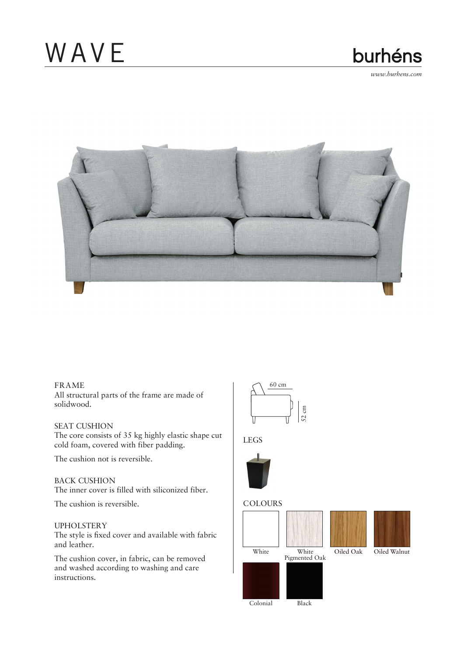## burhéns

*www.burhens.com*



#### FRAME All structural parts of the frame are made of solidwood.

#### SEAT CUSHION

The core consists of 35 kg highly elastic shape cut cold foam, covered with fiber padding.

The cushion not is reversible.

#### BACK CUSHION

The inner cover is filled with siliconized fiber.

The cushion is reversible.

#### UPHOLSTERY

The style is fixed cover and available with fabric and leather.

The cushion cover, in fabric, can be removed and washed according to washing and care instructions.







### **COLOURS**



Colonial Black

Pigmented Oak